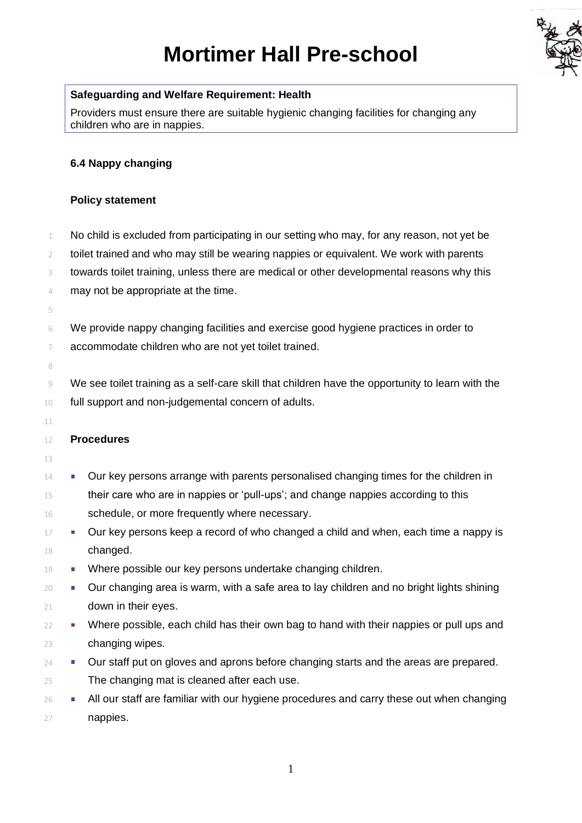# **Mortimer Hall Pre-school**



## **Safeguarding and Welfare Requirement: Health**

Providers must ensure there are suitable hygienic changing facilities for changing any children who are in nappies.

## **6.4 Nappy changing**

### **Policy statement**

 No child is excluded from participating in our setting who may, for any reason, not yet be toilet trained and who may still be wearing nappies or equivalent. We work with parents 3 towards toilet training, unless there are medical or other developmental reasons why this may not be appropriate at the time. 

 We provide nappy changing facilities and exercise good hygiene practices in order to accommodate children who are not yet toilet trained.

 We see toilet training as a self-care skill that children have the opportunity to learn with the full support and non-judgemental concern of adults.

### **Procedures**

- 
- **Our key persons arrange with parents personalised changing times for the children in**  their care who are in nappies or 'pull-ups'; and change nappies according to this 16 schedule, or more frequently where necessary.
- $17 \bullet$  Our key persons keep a record of who changed a child and when, each time a nappy is changed.
- **Where possible our key persons undertake changing children.**
- **•** Our changing area is warm, with a safe area to lay children and no bright lights shining down in their eyes.
- Where possible, each child has their own bag to hand with their nappies or pull ups and changing wipes.
- **24 Dur staff put on gloves and aprons before changing starts and the areas are prepared.** The changing mat is cleaned after each use.
- <sup>26</sup> All our staff are familiar with our hygiene procedures and carry these out when changing nappies.